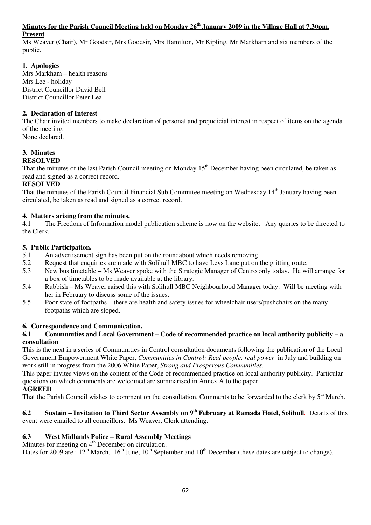#### **Minutes for the Parish Council Meeting held on Monday 26th January 2009 in the Village Hall at 7.30pm. Present**

Ms Weaver (Chair), Mr Goodsir, Mrs Goodsir, Mrs Hamilton, Mr Kipling, Mr Markham and six members of the public.

## **1. Apologies**

Mrs Markham – health reasons Mrs Lee - holiday District Councillor David Bell District Councillor Peter Lea

## **2. Declaration of Interest**

The Chair invited members to make declaration of personal and prejudicial interest in respect of items on the agenda of the meeting. None declared.

#### **3. Minutes RESOLVED**

That the minutes of the last Parish Council meeting on Monday  $15<sup>th</sup>$  December having been circulated, be taken as read and signed as a correct record.

## **RESOLVED**

That the minutes of the Parish Council Financial Sub Committee meeting on Wednesday 14<sup>th</sup> January having been circulated, be taken as read and signed as a correct record.

## **4. Matters arising from the minutes.**

4.1 The Freedom of Information model publication scheme is now on the website. Any queries to be directed to the Clerk.

#### **5. Public Participation.**

- 5.1 An advertisement sign has been put on the roundabout which needs removing.
- 5.2 Request that enquiries are made with Solihull MBC to have Leys Lane put on the gritting route.
- 5.3 New bus timetable Ms Weaver spoke with the Strategic Manager of Centro only today. He will arrange for a box of timetables to be made available at the library.
- 5.4 Rubbish Ms Weaver raised this with Solihull MBC Neighbourhood Manager today. Will be meeting with her in February to discuss some of the issues.
- 5.5 Poor state of footpaths there are health and safety issues for wheelchair users/pushchairs on the many footpaths which are sloped.

## **6. Correspondence and Communication.**

#### **6.1 Communities and Local Government – Code of recommended practice on local authority publicity – a consultation**

This is the next in a series of Communities in Control consultation documents following the publication of the Local Government Empowerment White Paper, *Communities in Control: Real people, real power* in July and building on work still in progress from the 2006 White Paper, *Strong and Prosperous Communities.* 

This paper invites views on the content of the Code of recommended practice on local authority publicity. Particular questions on which comments are welcomed are summarised in Annex A to the paper.

## **AGREED**

That the Parish Council wishes to comment on the consultation. Comments to be forwarded to the clerk by 5<sup>th</sup> March.

**6.2 Sustain – Invitation to Third Sector Assembly on 9th February at Ramada Hotel, Solihull***.* Details of this event were emailed to all councillors. Ms Weaver, Clerk attending.

## **6.3 West Midlands Police – Rural Assembly Meetings**

Minutes for meeting on 4<sup>th</sup> December on circulation.

Dates for 2009 are :  $12<sup>th</sup>$  March,  $16<sup>th</sup>$  June,  $10<sup>th</sup>$  September and  $10<sup>th</sup>$  December (these dates are subject to change).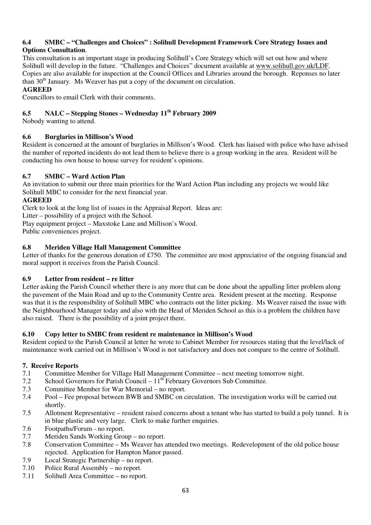## **6.4 SMBC – "Challenges and Choices" : Solihull Development Framework Core Strategy Issues and Options Consultation**.

This consultation is an important stage in producing Solihull's Core Strategy which will set out how and where Solihull will develop in the future. "Challenges and Choices" document available at www.solihull.gov.uk/LDF. Copies are also available for inspection at the Council Offices and Libraries around the borough. Reponses no later than  $30<sup>th</sup>$  January. Ms Weaver has put a copy of the document on circulation.

## **AGREED**

Councillors to email Clerk with their comments.

# **6.5 NALC – Stepping Stones – Wednesday 11th February 2009**

Nobody wanting to attend.

## **6.6 Burglaries in Millison's Wood**

Resident is concerned at the amount of burglaries in Millison's Wood. Clerk has liaised with police who have advised the number of reported incidents do not lead them to believe there is a group working in the area. Resident will be conducting his own house to house survey for resident's opinions.

## **6.7 SMBC – Ward Action Plan**

An invitation to submit our three main priorities for the Ward Action Plan including any projects we would like Solihull MBC to consider for the next financial year.

#### **AGREED**

Clerk to look at the long list of issues in the Appraisal Report. Ideas are:

Litter – possibility of a project with the School.

Play equipment project – Maxstoke Lane and Millison's Wood.

Public conveniences project.

## **6.8 Meriden Village Hall Management Committee**

Letter of thanks for the generous donation of £750. The committee are most appreciative of the ongoing financial and moral support it receives from the Parish Council.

## **6.9 Letter from resident – re litter**

Letter asking the Parish Council whether there is any more that can be done about the appalling litter problem along the pavement of the Main Road and up to the Community Centre area. Resident present at the meeting. Response was that it is the responsibility of Solihull MBC who contracts out the litter picking. Ms Weaver raised the issue with the Neighbourhood Manager today and also with the Head of Meriden School as this is a problem the children have also raised. There is the possibility of a joint project there.

#### **6.10 Copy letter to SMBC from resident re maintenance in Millison's Wood**

Resident copied to the Parish Council at letter he wrote to Cabinet Member for resources stating that the level/lack of maintenance work carried out in Millison's Wood is not satisfactory and does not compare to the centre of Solihull.

#### **7. Receive Reports**

- 7.1 Committee Member for Village Hall Management Committee next meeting tomorrow night.<br>7.2 School Governors for Parish Council  $11<sup>th</sup>$  February Governors Sub Committee.
- School Governors for Parish Council  $11<sup>th</sup>$  February Governors Sub Committee.
- 7.3 Committee Member for War Memorial no report.
- 7.4 Pool Fee proposal between BWB and SMBC on circulation. The investigation works will be carried out shortly.
- 7.5 Allotment Representative resident raised concerns about a tenant who has started to build a poly tunnel. It is in blue plastic and very large. Clerk to make further enquiries.
- 7.6 Footpaths/Forum no report.
- 7.7 Meriden Sands Working Group no report.
- 7.8 Conservation Committee Ms Weaver has attended two meetings. Redevelopment of the old police house rejected. Application for Hampton Manor passed.
- 7.9 Local Strategic Partnership no report.
- 7.10 Police Rural Assembly no report.
- 7.11 Solihull Area Committee no report.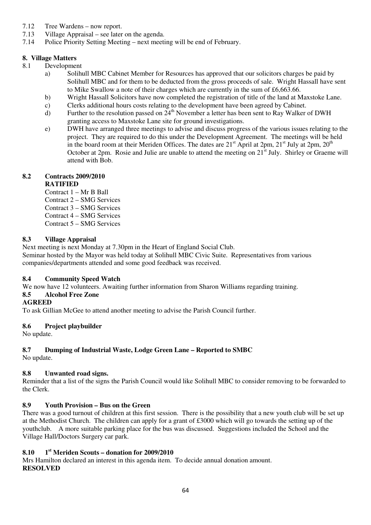- 7.12 Tree Wardens now report.
- 7.13 Village Appraisal see later on the agenda.
- 7.14 Police Priority Setting Meeting next meeting will be end of February.

## **8. Village Matters**

- 8.1 Development
	- a) Solihull MBC Cabinet Member for Resources has approved that our solicitors charges be paid by Solihull MBC and for them to be deducted from the gross proceeds of sale. Wright Hassall have sent to Mike Swallow a note of their charges which are currently in the sum of £6,663.66.
	- b) Wright Hassall Solicitors have now completed the registration of title of the land at Maxstoke Lane.
	- c) Clerks additional hours costs relating to the development have been agreed by Cabinet.
	- d) Further to the resolution passed on  $24<sup>th</sup>$  November a letter has been sent to Ray Walker of DWH granting access to Maxstoke Lane site for ground investigations.
	- e) DWH have arranged three meetings to advise and discuss progress of the various issues relating to the project. They are required to do this under the Development Agreement. The meetings will be held in the board room at their Meriden Offices. The dates are  $21<sup>st</sup>$  April at 2pm,  $21<sup>st</sup>$  July at 2pm,  $20<sup>th</sup>$ October at  $2pm$ . Rosie and Julie are unable to attend the meeting on  $21<sup>st</sup>$  July. Shirley or Graeme will attend with Bob.

## **8.2 Contracts 2009/2010**

## **RATIFIED**

- Contract 1 Mr B Ball
- Contract 2 SMG Services
- Contract 3 SMG Services
- Contract 4 SMG Services
- Contract 5 SMG Services

## **8.3 Village Appraisal**

Next meeting is next Monday at 7.30pm in the Heart of England Social Club. Seminar hosted by the Mayor was held today at Solihull MBC Civic Suite. Representatives from various companies/departments attended and some good feedback was received.

# **8.4 Community Speed Watch**

We now have 12 volunteers. Awaiting further information from Sharon Williams regarding training.

## **8.5 Alcohol Free Zone**

## **AGREED**

To ask Gillian McGee to attend another meeting to advise the Parish Council further.

# **8.6 Project playbuilder**

No update.

# **8.7 Dumping of Industrial Waste, Lodge Green Lane – Reported to SMBC**

No update.

# **8.8 Unwanted road signs.**

Reminder that a list of the signs the Parish Council would like Solihull MBC to consider removing to be forwarded to the Clerk.

# **8.9 Youth Provision – Bus on the Green**

There was a good turnout of children at this first session. There is the possibility that a new youth club will be set up at the Methodist Church. The children can apply for a grant of £3000 which will go towards the setting up of the youthclub. A more suitable parking place for the bus was discussed. Suggestions included the School and the Village Hall/Doctors Surgery car park.

# **8.10 1st Meriden Scouts – donation for 2009/2010**

Mrs Hamilton declared an interest in this agenda item. To decide annual donation amount. **RESOLVED**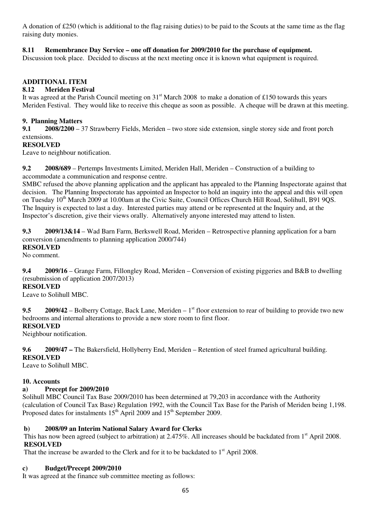A donation of £250 (which is additional to the flag raising duties) to be paid to the Scouts at the same time as the flag raising duty monies.

#### **8.11 Remembrance Day Service – one off donation for 2009/2010 for the purchase of equipment.**

Discussion took place. Decided to discuss at the next meeting once it is known what equipment is required.

## **ADDITIONAL ITEM**

#### **8.12 Meriden Festival**

It was agreed at the Parish Council meeting on  $31<sup>st</sup>$  March 2008 to make a donation of £150 towards this years Meriden Festival. They would like to receive this cheque as soon as possible. A cheque will be drawn at this meeting.

#### **9. Planning Matters**

**9.1 2008/2200** – 37 Strawberry Fields, Meriden – two store side extension, single storey side and front porch extensions.

#### **RESOLVED**

Leave to neighbour notification.

**9.2 2008/689** – Pertemps Investments Limited, Meriden Hall, Meriden – Construction of a building to accommodate a communication and response centre.

SMBC refused the above planning application and the applicant has appealed to the Planning Inspectorate against that decision. The Planning Inspectorate has appointed an Inspector to hold an inquiry into the appeal and this will open on Tuesday 10<sup>th</sup> March 2009 at 10.00am at the Civic Suite, Council Offices Church Hill Road, Solihull, B91 9OS. The Inquiry is expected to last a day. Interested parties may attend or be represented at the Inquiry and, at the Inspector's discretion, give their views orally. Alternatively anyone interested may attend to listen.

**9.3 2009/13&14** – Wad Barn Farm, Berkswell Road, Meriden – Retrospective planning application for a barn conversion (amendments to planning application 2000/744)

#### **RESOLVED**

No comment.

**9.4 2009/16** – Grange Farm, Fillongley Road, Meriden – Conversion of existing piggeries and B&B to dwelling (resubmission of application 2007/2013)

#### **RESOLVED**

Leave to Solihull MBC.

9.5 2009/42 – Bolberry Cottage, Back Lane, Meriden – 1<sup>st</sup> floor extension to rear of building to provide two new bedrooms and internal alterations to provide a new store room to first floor.

# **RESOLVED**

Neighbour notification.

**9.6 2009/47 –** The Bakersfield, Hollyberry End, Meriden – Retention of steel framed agricultural building. **RESOLVED** 

Leave to Solihull MBC.

#### **10. Accounts**

## **a) Precept for 2009/2010**

Solihull MBC Council Tax Base 2009/2010 has been determined at 79,203 in accordance with the Authority (calculation of Council Tax Base) Regulation 1992, with the Council Tax Base for the Parish of Meriden being 1,198. Proposed dates for instalments  $15<sup>th</sup>$  April 2009 and  $15<sup>th</sup>$  September 2009.

## **b) 2008/09 an Interim National Salary Award for Clerks**

This has now been agreed (subject to arbitration) at 2.475%. All increases should be backdated from 1<sup>st</sup> April 2008. **RESOLVED**

That the increase be awarded to the Clerk and for it to be backdated to  $1<sup>st</sup>$  April 2008.

#### **c) Budget/Precept 2009/2010**

It was agreed at the finance sub committee meeting as follows: